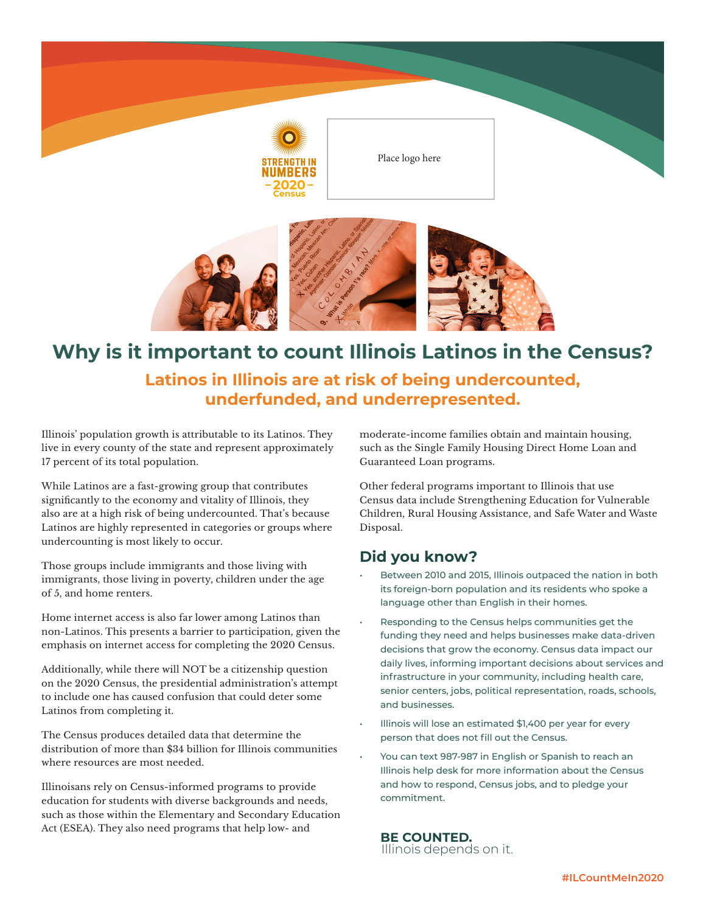

Place logo here



# **Why is it important to count Illinois Latinos in the Census?**

### **Latinos in Illinois are at risk of being undercounted, underfunded, and underrepresented.**

Illinois' population growth is attributable to its Latinos. They live in every county of the state and represent approximately 17 percent of its total population.

While Latinos are a fast-growing group that contributes significantly to the economy and vitality of Illinois, they also are at a high risk of being undercounted. That's because Latinos are highly represented in categories or groups where undercounting is most likely to occur.

Those groups include immigrants and those living with immigrants, those living in poverty, children under the age of 5, and home renters.

Home internet access is also far lower among Latinos than non-Latinos. This presents a barrier to participation, given the emphasis on internet access for completing the 2020 Census.

Additionally, while there will NOT be a citizenship question on the 2020 Census, the presidential administration's attempt to include one has caused confusion that could deter some Latinos from completing it.

The Census produces detailed data that determine the distribution of more than \$34 billion for Illinois communities where resources are most needed.

Illinoisans rely on Census-informed programs to provide education for students with diverse backgrounds and needs, such as those within the Elementary and Secondary Education Act (ESEA). They also need programs that help low- and

moderate-income families obtain and maintain housing, such as the Single Family Housing Direct Home Loan and Guaranteed Loan programs.

Other federal programs important to Illinois that use Census data include Strengthening Education for Vulnerable Children, Rural Housing Assistance, and Safe Water and Waste Disposal.

#### **Did you know?**

- Between 2010 and 2015, Illinois outpaced the nation in both its foreign-born population and its residents who spoke a language other than English in their homes.
- Responding to the Census helps communities get the funding they need and helps businesses make data-driven decisions that grow the economy. Census data impact our daily lives, informing important decisions about services and infrastructure in your community, including health care, senior centers, jobs, political representation, roads, schools, and businesses.
- Illinois will lose an estimated \$1,400 per year for every person that does not fill out the Census.
- You can text 987-987 in English or Spanish to reach an Illinois help desk for more information about the Census and how to respond, Census jobs, and to pledge your commitment.

**BE COUNTED.**<br>Illinois depends on it.